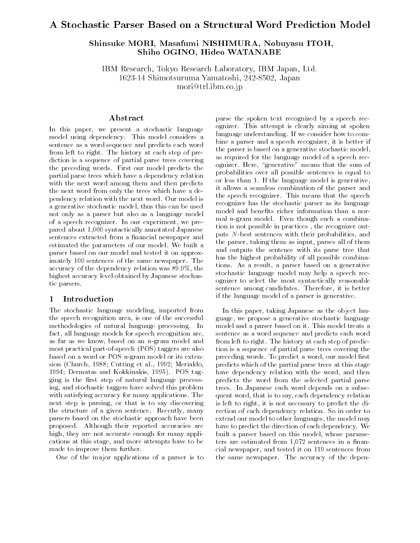# A Stochastic Parser Based on a Structural Word Prediction Model

# Shinsuke MORI, Masafumi NISHIMURA, Nobuyasu ITOH, Shiho OGINO, Hideo WATANABE

IBM Research, Tokyo Research Laboratory, IBM Japan, Ltd.

1623-14 Shimotsuruma Yamatoshi, 242-8502, Japan

mori@trl.ibm.co.jp

## Abstract

In this paper, we present a stochastic language model using dependency. This model considers a sentence as a word sequence and predicts each word from left to right. The history at each step of prediction is a sequence of partial parse trees covering the preceding words. First our model predicts the partial parse trees which have a dependency relation with the next word among them and then predicts the next word from only the trees which have a dependency relation with the next word. Our model is a generative stochastic model, thus this can be used not only as a parser but also as a language model of a speech recognizer. In our experiment, we prepared about 1,000 syntactically annotated Japanese sentences extracted from a financial newspaper and estimated the parameters of our model. We built a parser based on our model and tested it on approximately 100 sentences of the same newspaper. The accuracy of the dependency relation was 89.9%, the highest accuracy level obtained by Japanese stochastic parsers.

# 1 Introduction

The stochastic language modeling, imported from the speech recognition area, is one of the successful methodologies of natural language processing. In fact, all language models for speech recognition are, as far as we know, based on an n-gram model and most practical part-of-speech (POS) taggers are also based on a word or POS  $n$ -gram model or its extension (Church, 1988; Cutting et al., 1992; Merialdo, 1994; Dermatas and Kokkinakis, 1995). POS tagging is the first step of natural language processing, and stochastic taggers have solved this problem with satisfying accuracy for many applications. The next step is parsing, or that is to say discovering the structure of a given sentence. Recently, many parsers based on the stochastic approach have been proposed. Although their reported accuracies are high, they are not accurate enough for many applications at this stage, and more attempts have to be made to improve them further.

One of the major applications of a parser is to

parse the spoken text recognized by a speech recognizer. This attempt is clearly aiming at spoken language understanding. If we consider how to combine a parser and a speech recognizer, it is better if the parser is based on a generative stochastic model, as required for the language model of a speech recognizer. Here, "generative" means that the sum of probabilities over all possible sentences is equal to or less than 1. If the language model is generative, it allows a seamless combination of the parser and the speech recognizer. This means that the speech recognizer has the stochastic parser as its language model and benefits richer information than a normal n-gram model. Even though such a combination is not possible in practices , the recognizer outputs N-best sentences with their probabilities, and the parser, taking them as input, parses all of them and outputs the sentence with its parse tree that has the highest probability of all possible combinations. As a result, a parser based on a generative stochastic language model may help a speech recognizer to select the most syntactically reasonable sentence among candidates. Therefore, it is better if the language model of a parser is generative.

In this paper, taking Japanese as the object language, we propose a generative stochastic language model and a parser based on it. This model treats a sentence as a word sequence and predicts each word from left to right. The history at each step of prediction is a sequence of partial parse trees covering the preceding words. To predict a word, our model first predicts which of the partial parse trees at this stage have dependency relation with the word, and then predicts the word from the selected partial parse trees. In Japanese each word depends on a subsequent word, that is to say, each dependency relation is left to right, it is not necessary to predict the direction of each dependency relation. So in order to extend our model to other languages, the model may have to predict the direction of each dependency. We built a parser based on this model, whose parameters are estimated from  $1,072$  sentences in a financial newspaper, and tested it on 119 sentences from the same newspaper. The accuracy of the depen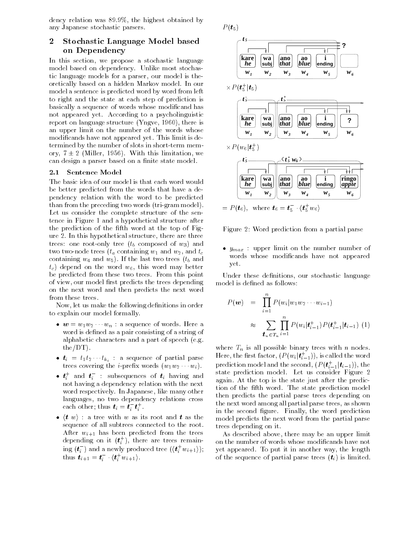dency relation was 89.9%, the highest obtained by any Japanese stochastic parsers.

# 2 Stochastic Language Model based on Dependency

In this section, we propose a stochastic language model based on dependency. Unlike most stochastic language models for a parser, our model is theoretically based on a hidden Markov model. In our model a sentence is predicted word by word from left to right and the state at each step of prediction is basically a sequence of words whose modicand has not appeared yet. According to a psycholinguistic report on language structure (Yngve, 1960), there is an upper limit on the number of the words whose modicands have not appeared yet. This limit is determined by the number of slots in short-term memory,  $7 \pm 2$  (Miller, 1956). With this limitation, we can design a parser based on a finite state model.

### 2.1 Sentence Model

The basic idea of our model is that each word would be better predicted from the words that have a dependency relation with the word to be predicted than from the preceding two words (tri-gram model). Let us consider the complete structure of the sentence in Figure 1 and a hypothetical structure after the prediction of the fifth word at the top of Figure 2. In this hypothetical structure, there are three trees: one root-only tree  $(t_b \text{ composed of } w_3)$  and two two-node trees  $(t_a$  containing  $w_1$  and  $w_2$ , and  $t_c$ containing w4 and w5). If the last two trees (to and a  $t_c$ ) depend on the word  $w_6$ , this word may better be predicted from these two trees. From this point of view, our model first predicts the trees depending on the next word and then predicts the next word from these trees.

Now, let us make the following definitions in order to explain our model formally.

- w = w1w2 wh : www.qare a sexual assessment word is defined as a pair consisting of a string of alphabetic characters and a part of speech (e.g. the/DT).
- $t_i = t_1 t_2 \cdots t_{k_i}$  : a sequence of partial parse  $\mathbf{r}$  is a corresponding to the interval wide in the interval wide in  $\mathbf{r}_i$  , we have the interval wide in  $\mathbf{r}_i$
- $\bullet$   $\bm{t}_i^+$  and  $\bm{t}_i^-$  : subsequences of  $\bm{t}_i^-$  having and not having a dependency relation with the next structure word respectively. In Japanese, like many other languages, no two dependency relations cross each other; thus  $\boldsymbol{t}_i = \boldsymbol{t}_i^{\top} \boldsymbol{t}_i^{\top}$  .
- $\bullet$   $\langle t \ w \rangle$  : a tree with w as its root and t as the sequence of all subtrees connected to the root. After  $w_{i+1}$  has been predicted from the trees depending on it  $(\boldsymbol{t}^+_i)$ , there are trees remaining  $(\boldsymbol{t}_i$  ) and a newly produced tree  $(\langle \boldsymbol{t}_i^+ w_{i+1} \rangle)$  ; thus  $t_{i+1} = t_i \quad \langle t_i^{\top} w_{i+1} \rangle$ .



Figure 2: Word prediction from a partial parse

 $\bullet$   $y_{max}$ : upper limit on the number number of words whose modicands have not appeared yet.

Under these definitions, our stochastic language model is defined as follows:

$$
P(\mathbf{w}) = \prod_{i=1}^{n} P(w_i | w_1 w_2 \cdots w_{i-1})
$$
  
\n
$$
\approx \sum_{\mathbf{t}_n \in T_n} \prod_{i=1}^{n} P(w_i | \mathbf{t}_{i-1}^+) P(\mathbf{t}_{i-1}^+ | \mathbf{t}_{i-1}) \tag{1}
$$

where  $T_n$  is all possible binary trees with n nodes. Here, the first factor,  $(P(w_i|\boldsymbol{t}_{i-1}^\prime))$ , is called the word prediction model and the second,  $(P(\boldsymbol{t}^{\scriptscriptstyle +}_{i-1}|\boldsymbol{t}_{i-1})),$  the state prediction model. Let us consider Figure 2 again. At the top is the state just after the prediction of the fth word. The state prediction model then predicts the partial parse trees depending on the next word among all partial parse trees, as shown in the second figure. Finally, the word prediction model predicts the next word from the partial parse trees depending on it.

As described above, there may be an upper limit on the number of words whose modicands have not yet appeared. To put it in another way, the length of the sequence of partial parse trees  $(t_i)$  is limited.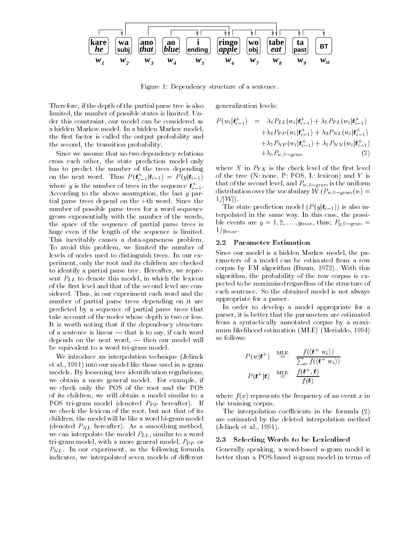

Figure 1: Dependency structure of a sentence.

Therefore, if the depth of the partial parse tree is also limited, the number of possible states is limited. Under this constraint, our model can be considered as a hidden Markov model. In a hidden Markov model, the first factor is called the output probability and the second, the transition probability.

Since we assume that no two dependency relations cross each other, the state prediction model only has to predict the number of the trees depending on the next word. Thus  $P(\mathbf{t}_{i-1}|\mathbf{t}_{i-1}) = P(y|\mathbf{t}_{i-1})$ where y is the number of trees in the sequence  $\boldsymbol{t}^+_{i-1}.$ According to the above assumption, the last <sup>y</sup> partial parse trees depend on the  $i$ -th word. Since the number of possible parse trees for a word sequence grows exponentially with the number of the words, the space of the sequence of partial parse trees is huge even if the length of the sequence is limited. This inevitably causes a data-sparseness problem. To avoid this problem, we limited the number of levels of nodes used to distinguish trees. In our experiment, only the root and its children are checked to identify a partial parse tree. Hereafter, we represent  $P_{LL}$  to denote this model, in which the lexicon of the first level and that of the second level are considered. Thus, in our experiment each word and the number of partial parse trees depending on it are predicted by a sequence of partial parse trees that take account of the nodes whose depth is two or less. It is worth noting that if the dependency structure of a sentence is linear  $-$  that is to say, if each word depends on the next word,  $-$  then our model will be equivalent to a word tri-gram model.

We introduce an interpolation technique (Jelinek et al., 1991) into our model like those used in n-gram models. By loosening tree identication regulations, we obtain a more general model. For example, if we check only the POS of the root and the POS of its children, we will obtain a model similar to a POS tri-gram model (denoted  $P_{PP}$  hereafter). If we check the lexicon of the root, but not that of its children, the model will be likeaword bi-gram model (denoted  $P_{NL}$  hereafter). As a smoothing method, we can interpolate the model  $P_{LL}$ , similar to a word<br>tri gram model with a more general model  $P_{LR}$  or 2.3 tri-gram model, with a more general model,  $P_{PP}$  or  $P_{NL}$ . In our experiment, as the following formula indicates, we interpolated seven models of different

generalization levels:

$$
P(w_i|t_{i-1}^+) = \lambda_6 P_{LL}(w_i|t_{i-1}^+) + \lambda_5 P_{PL}(w_i|t_{i-1}^+) + \lambda_4 P_{PP}(w_i|t_{i-1}^+) + \lambda_3 P_{NL}(w_i|t_{i-1}^+) + \lambda_2 P_{NP}(w_i|t_{i-1}^+) + \lambda_1 P_{NN}(w_i|t_{i-1}^+) + \lambda_0 P_{w,0-\text{gram}} \tag{2}
$$

where X in  $P_{YX}$  is the check level of the first level of the tree (N: none, P: POS, L: lexicon) and  $Y$  is that of the second level, and  $P_{w,0-\text{gram}}$  is the uniform distribution over the vocabulary  $\mathcal{W}(P_{w,0-\text{gram}}(w))$  $1/|\mathcal{W}|$ ).

The state prediction model  $(P(y|t_{i-1}))$  is also interpolated in the same way. In this case, the possible events are  $y = 1, 2, \ldots, y_{max}$ , thus;  $P_{y,0-\text{gram}} =$  $1/y_{max}$ .

### 2.2 Parameter Estimation

Since our model is a hidden Markov model, the parameters of a model can be estimated from a row corpus by EM algorithm (Baum, 1972). With this algorithm, the probability of the row corpus is expected to be maximized regardless of the structure of each sentence. So the obtained model is not always appropriate for a parser.

In order to develop a model appropriate for a parser, it is better that the parameters are estimated from a syntactically annotated corpus by a maxi mum likelihood estimation (MLE) (Merialdo, 1994) as follows:

$$
P(w|t^+) \stackrel{\text{MLE}}{=} \frac{f(\langle t^+ w_i \rangle)}{\sum_w f(\langle t^+ w_i \rangle)}
$$

$$
P(t^+|t) \stackrel{\text{MLE}}{=} \frac{f(t^+,t)}{f(t)}
$$

where  $f(x)$  represents the frequency of an event x in the training corpus.

The interpolation coefficients in the formula  $(2)$ are estimated by the deleted interpolation method (Jelinek et al., 1991).

### **2.3 Selecting Words to be Lexicalized**

Generally speaking, a word-based n-gram model is better than a POS-based  $n$ -gram model in terms of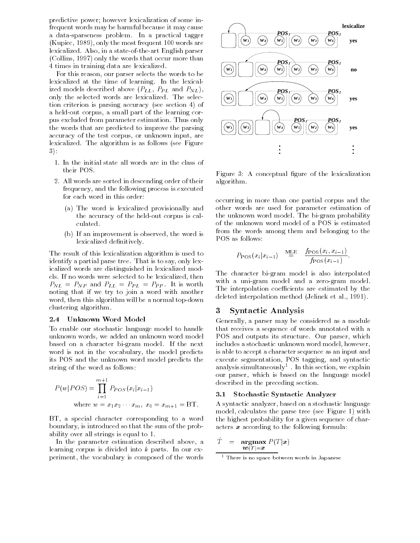predictive power; however lexicalization of some infrequent words may be harmful because it may cause a data-sparseness problem. In a practical tagger (Kupiec, 1989), only the most frequent 100 words are lexicalized. Also, in a state-of-the-art English parser (Collins, 1997) only the words that occur more than 4 times in training data are lexicalized.

For this reason, our parser selects the words to be lexicalized at the time of learning. In the lexicalized models described above  $(P_{LL}, P_{PL}$  and  $P_{NL})$ , only the selected words are lexicalized. The selection criterion is parsing accuracy (see section 4) of a held-out corpus, a small part of the learning corpus excluded from parameter estimation. Thus only the words that are predicted to improve the parsing accuracy of the test corpus, or unknown input, are lexicalized. The algorithm is as follows (see Figure 3):

- 1. In the initial state all words are in the class of their POS.
- 2. All words are sorted in descending order of their frequency, and the following process is executed for each word in this order:
	- (a) The word is lexicalized provisionally and the accuracy of the held-out corpus is calculated.
	- (b) If an improvement is observed, the word is lexicalized definitively.

The result of this lexicalization algorithm is used to identify a partial parse tree. That is to say, only lexicalized words are distinguished in lexicalized models. If no words were selected to be lexicalized, then  $P_{NL} = P_{NP}$  and  $P_{LL} = P_{PL} = P_{PP}$ . It is worth noting that if we try to join a word with another word, then this algorithm will be a normal top-down clustering algorithm.

#### $2.4$ Unknown Word Model

To enable our stochastic language model to handle unknown words, we added an unknown word model based on a character bi-gram model. If the next word is not in the vocabulary, the model predicts its POS and the unknown word model predicts the string of the word as follows:

$$
P(w|POS) = \prod_{i=1}^{m+1} P_{POS}(x_i|x_{i-1})
$$
  
where  $w = x_1x_2 \cdots x_m$ ,  $x_0 = x_{m+1} = BT$ .

BT, a special character corresponding to a word boundary, is introduced so that the sum of the probability over all strings is equal to 1.

In the parameter estimation described above, a learning corpus is divided into  $k$  parts. In our experiment, the vocabulary is composed of the words



Figure 3: A conceptual figure of the lexicalization algorithm.

occurring in more than one partial corpus and the other words are used for parameter estimation of the unknown word model. The bi-gram probability of the unknown word model of a POS is estimated from the words among them and belonging to the POS as follows:

$$
P_{\text{POS}}(x_i|x_{i-1}) \stackrel{\text{MLE}}{=} \frac{f_{\text{POS}}(x_i, x_{i-1})}{f_{\text{POS}}(x_{i-1})}.
$$

The character bi-gram model is also interpolated with a uni-gram model and a zero-gram model. The interpolation coefficients are estimated by the deleted interpolation method (Jelinek et al., 1991).

#### 3 3 Syntactic Analysis

Generally, a parser may be considered as a module that receives a sequence of words annotated with a POS and outputs its structure. Our parser, which includes a stochastic unknown word model, however, is able to accept a character sequence as an input and execute segmentation, POS tagging, and syntactic analysis simultaneously1 . In this section, we explain our parser, which is based on the language model described in the preceding section.

### 3.1 Stochastic Syntactic Analyzer

A syntactic analyzer, based on a stochastic language model, calculates the parse tree (see Figure 1) with the highest probability for a given sequence of characters  $x$  according to the following formula:

$$
\hat{T} = \mathop{\mathbf{argmax}}_{\bm{w}(T) = \bm{x}} P(T|\bm{x})
$$

there is no space between words in Japanese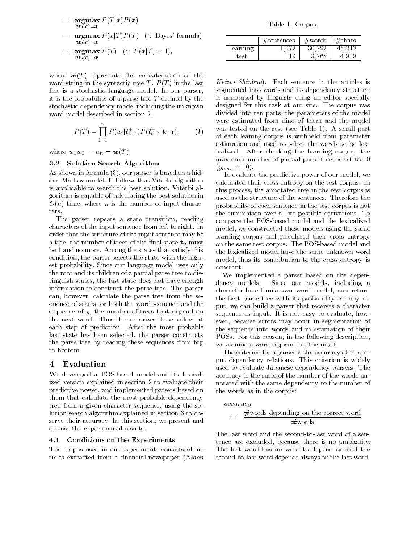- $=$ = argmax <sup>P</sup> (T jx)P (x)  $\mathbf{w}(T) = \mathbf{x}$  $=$   $\argmax P(x|T)P(T)$  ( Bayes' formula)  $\boldsymbol{w}(T)$ = $\boldsymbol{x}$
- $=$  $=$   $\alpha_1$ g $\alpha_2$ ,  $\alpha_3$ ,  $\alpha_4$ ,  $\alpha_5$ ,  $\alpha_7$ ,  $\alpha_8$ ,  $\alpha_9$ ,  $\alpha_1$ ,  $\alpha_2$  $w(T) = x$

where  $w(T)$  represents the concatenation of the word string in the syntactic tree T.  $P(T)$  in the last line is a stochastic language model. In our parser, it is the probability of a parse tree  $T$  defined by the stochastic dependency model including the unknown word model described in section 2.

$$
P(T) = \prod_{i=1}^{n} P(w_i | t_{i-1}^+) P(t_{i-1}^+ | t_{i-1}), \qquad (3)
$$

 $\ldots$   $\ldots$   $\ldots$   $\ldots$   $\ldots$   $\ldots$   $\ldots$   $\ldots$   $\ldots$   $\ldots$   $\ldots$   $\ldots$   $\ldots$   $\ldots$   $\ldots$   $\ldots$   $\ldots$   $\ldots$   $\ldots$   $\ldots$   $\ldots$   $\ldots$   $\ldots$   $\ldots$   $\ldots$   $\ldots$   $\ldots$   $\ldots$   $\ldots$   $\ldots$   $\ldots$   $\ldots$   $\ldots$   $\ldots$   $\ldots$   $\ldots$   $\ldots$ 

### 3.2 Solution Search Algorithm

As shown in formula (3), our parser is based on a hidden Markov model. It follows that Viterbi algorithm is applicable to search the best solution. Viterbi algorithm is capable of calculating the best solution in  $O(n)$  time, where *n* is the number of input characters.

The parser repeats a state transition, reading characters of the input sentence from left to right. In order that the structure of the input sentence may be a tree, the number of trees of the final state  $t_n$  must be 1 and no more. Among the states that satisfy this condition, the parser selects the state with the highest probability. Since our language model uses only the root and its children of a partial parse tree to distinguish states, the last state does not have enough dency models. information to construct the parse tree. The parser can, however, calculate the parse tree from the sequence of states, or both the word sequence and the sequence of  $y$ , the number of trees that depend on the next word. Thus it memorizes these values at each step of prediction. After the most probable last state has been selected, the parser constructs the parse tree by reading these sequences from top to bottom.

#### Evaluation  $\overline{4}$

We developed a POS-based model and its lexicalized version explained in section 2 to evaluate their predictive power, and implemented parsers based on them that calculate the most probable dependency tree from a given character sequence, using the solution search algorithm explained in section 3 to observe their accuracy. In this section, we present and discuss the experimental results.

## 4.1 Conditions on the Experiments

The corpus used in our experiments consists of articles extracted from a financial newspaper (Nihon

Table 1: Corpus.

|          | $\#$ sentences | $\#\text{words}$ | . #chars |
|----------|----------------|------------------|----------|
| learning |                |                  |          |
| : es1    |                |                  |          |

Keizai Shinbun). Each sentence in the articles is segmented into words and its dependency structure is annotated by linguists using an editor specially designed for this task at our site. The corpus was divided into ten parts; the parameters of the model were estimated from nine of them and the model was tested on the rest (see Table 1). A small part of each leaning corpus is withheld from parameter estimation and used to select the words to be lexicalized. After checking the learning corpus, the maximum number of partial parse trees is set to 10  $(y_{max} = 10)$ .

To evaluate the predictive power of our model, we calculated their cross entropy on the test corpus. In this process, the annotated tree in the test corpus is used as the structure of the sentences. Therefore the probability of each sentence in the test corpus is not the summation over all its possible derivations. To compare the POS-based model and the lexicalized model, we constructed these models using the same learning corpus and calculated their cross entropy on the same test corpus. The POS-based model and the lexicalized model have the same unknown word model, thus its contribution to the cross entropy is constant.

We implemented a parser based on the depen-Since our models, including a character-based unknown word model, can return the best parse tree with its probability for any input, we can build a parser that receives a character sequence as input. It is not easy to evaluate, however, because errors may occur in segmentation of the sequence into words and in estimation of their POSs. For this reason, in the following description, we assume a word sequence as the input.

The criterion for a parser is the accuracy of its output dependency relations. This criterion is widely used to evaluate Japanese dependency parsers. The accuracy is the ratio of the number of the words annotated with the same dependency to the number of the words as in the corpus:

$$
accuracy
$$
\n
$$
= \frac{\text{#words depending on the correct word}}{\text{#words}}
$$

The last word and the second-to-last word of a sentence are excluded, because there is no ambiguity. The last word has no word to depend on and the second-to-last word depends always on the last word.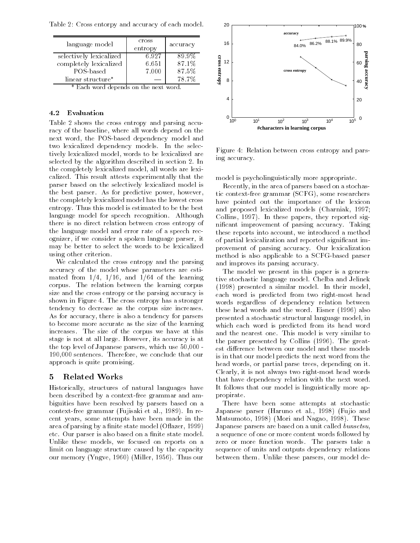Table 2: Cross entorpy and accuracy of each model.

| language model          | cross<br>entropy | accuracy |
|-------------------------|------------------|----------|
| selectively lexicalized | 6.927            | 89.9%    |
| completely lexicalized  | 6.651            | 87.1%    |
| POS-based               | 7.000            | 87.5%    |
| linear structure*       |                  | 78.7%    |

\* Each word depends on the next word.

## 4.2 Evaluation

Table 2 shows the cross entropy and parsing accuracy of the baseline, where all words depend on the next word, the POS-based dependency model and two lexicalized dependency models. In the selectively lexicalized model, words to be lexicalized are selected by the algorithm described in section 2. In the completely lexicalized model, all words are lexicalized. This result attests experimentally that the parser based on the selectively lexicalized model is the best parser. As for predictive power, however, the completely lexicalized model has the lowest cross entropy. Thus this model is estimated to be the best language model for speech recognition. Although there is no direct relation between cross entropy of the language model and error rate of a speech recognizer, if we consider a spoken language parser, it may be better to select the words to be lexicalized using other criterion.

We calculated the cross entropy and the parsing accuracy of the model whose parameters are estimated from  $1/4$ ,  $1/16$ , and  $1/64$  of the learning corpus. The relation between the learning corpus size and the cross entropy or the parsing accuracy is shown in Figure 4. The cross entropy has a stronger tendency to decrease as the corpus size increases. As for accuracy, there is also a tendency for parsers to become more accurate as the size of the learning increases. The size of the corpus we have at this stage is not at all large. However, its accuracy is at the top level of Japanese parsers, which use 50,000 - 190,000 sentences. Therefore, we conclude that our approach is quite promising.

#### $\overline{5}$ 5 Related Works

Historically, structures of natural languages have been described by a context-free grammar and ambiguities have been resolved by parsers based on a context-free grammar (Fujisaki et al., 1989). In recent years, some attempts have been made in the area of parsing by a finite state model (Oflazer, 1999) etc. Our parser is also based on a finite state model. Unlike these models, we focused on reports on a limit on language structure caused by the capacity our memory (Yngve, 1960) (Miller, 1956). Thus our



Figure 4: Relation between cross entropy and parsing accuracy.

model is psycholinguistically more appropriate.

Recently, in the area of parsers based on a stochastic context-free grammar (SCFG), some researchers have pointed out the importance of the lexicon and proposed lexicalized models (Charniak, 1997; Collins, 1997). In these papers, they reported signicant improvement of parsing accuracy. Taking these reports into account, we introduced a method of partial lexicalization and reported signicant improvement of parsing accuracy. Our lexicalization method is also applicable to a SCFG-based parser and improves its parsing accuracy.

The model we present in this paper is a generative stochastic language model. Chelba and Jelinek (1998) presented a similar model. In their model, each word is predicted from two right-most head words regardless of dependency relation between these head words and the word. Eisner (1996) also presented a stochastic structural language model, in which each word is predicted from its head word and the nearest one. This model is very similar to the parser presented by Collins (1996). The greatest difference between our model and these models is in that our model predicts the next word from the head words, or partial parse trees, depending on it. Clearly, it is not always two right-most head words that have dependency relation with the next word. It follows that our model is linguistically more appropirate.

There have been some attempts at stochastic Japanese parser (Haruno et al., 1998) (Fujio and Matsumoto, 1998) (Mori and Nagao, 1998). These Japanese parsers are based on a unit called bunsetsu, a sequence of one or more content words followed by zero or more function words. The parsers take a sequence of units and outputs dependency relations between them. Unlike these parsers, our model de-